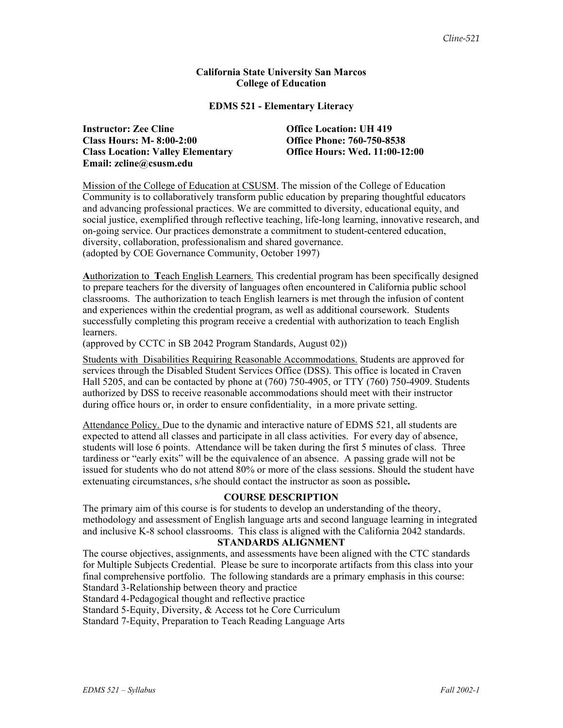# **California State University San Marcos College of Education**

## **EDMS 521 - Elementary Literacy**

**Instructor: Zee Cline Office Location: UH 419 Class Hours: M- 8:00-2:00 Office Phone: 760-750-8538 Class Location: Valley Elementary Office Hours: Wed. 11:00-12:00 Email: zcline@csusm.edu** 

Mission of the College of Education at CSUSM. The mission of the College of Education Community is to collaboratively transform public education by preparing thoughtful educators and advancing professional practices. We are committed to diversity, educational equity, and social justice, exemplified through reflective teaching, life-long learning, innovative research, and on-going service. Our practices demonstrate a commitment to student-centered education, diversity, collaboration, professionalism and shared governance. (adopted by COE Governance Community, October 1997)

**A**uthorization to **T**each English Learners. This credential program has been specifically designed to prepare teachers for the diversity of languages often encountered in California public school classrooms. The authorization to teach English learners is met through the infusion of content and experiences within the credential program, as well as additional coursework. Students successfully completing this program receive a credential with authorization to teach English **learners** 

(approved by CCTC in SB 2042 Program Standards, August 02))

Students with Disabilities Requiring Reasonable Accommodations. Students are approved for services through the Disabled Student Services Office (DSS). This office is located in Craven Hall 5205, and can be contacted by phone at (760) 750-4905, or TTY (760) 750-4909. Students authorized by DSS to receive reasonable accommodations should meet with their instructor during office hours or, in order to ensure confidentiality, in a more private setting.

Attendance Policy. Due to the dynamic and interactive nature of EDMS 521, all students are expected to attend all classes and participate in all class activities. For every day of absence, students will lose 6 points. Attendance will be taken during the first 5 minutes of class. Three tardiness or "early exits" will be the equivalence of an absence. A passing grade will not be issued for students who do not attend 80% or more of the class sessions. Should the student have extenuating circumstances, s/he should contact the instructor as soon as possible**.**

# **COURSE DESCRIPTION**

The primary aim of this course is for students to develop an understanding of the theory, methodology and assessment of English language arts and second language learning in integrated and inclusive K-8 school classrooms. This class is aligned with the California 2042 standards.

# **STANDARDS ALIGNMENT**

The course objectives, assignments, and assessments have been aligned with the CTC standards for Multiple Subjects Credential. Please be sure to incorporate artifacts from this class into your final comprehensive portfolio. The following standards are a primary emphasis in this course: Standard 3-Relationship between theory and practice

Standard 4-Pedagogical thought and reflective practice

Standard 5-Equity, Diversity, & Access tot he Core Curriculum

Standard 7-Equity, Preparation to Teach Reading Language Arts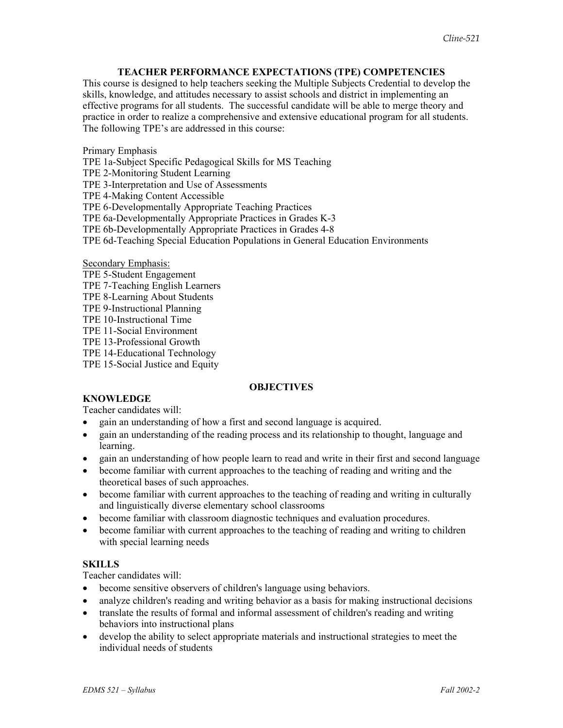# **TEACHER PERFORMANCE EXPECTATIONS (TPE) COMPETENCIES**

This course is designed to help teachers seeking the Multiple Subjects Credential to develop the skills, knowledge, and attitudes necessary to assist schools and district in implementing an effective programs for all students. The successful candidate will be able to merge theory and practice in order to realize a comprehensive and extensive educational program for all students. The following TPE's are addressed in this course:

Primary Emphasis

TPE 1a-Subject Specific Pedagogical Skills for MS Teaching

TPE 2-Monitoring Student Learning

TPE 3-Interpretation and Use of Assessments

TPE 4-Making Content Accessible

TPE 6-Developmentally Appropriate Teaching Practices

TPE 6a-Developmentally Appropriate Practices in Grades K-3

TPE 6b-Developmentally Appropriate Practices in Grades 4-8

TPE 6d-Teaching Special Education Populations in General Education Environments

Secondary Emphasis:

- TPE 5-Student Engagement
- TPE 7-Teaching English Learners
- TPE 8-Learning About Students
- TPE 9-Instructional Planning
- TPE 10-Instructional Time

TPE 11-Social Environment

TPE 13-Professional Growth

TPE 14-Educational Technology

TPE 15-Social Justice and Equity

# **OBJECTIVES**

### **KNOWLEDGE**

Teacher candidates will:

- gain an understanding of how a first and second language is acquired.
- gain an understanding of the reading process and its relationship to thought, language and learning.
- gain an understanding of how people learn to read and write in their first and second language
- become familiar with current approaches to the teaching of reading and writing and the theoretical bases of such approaches.
- become familiar with current approaches to the teaching of reading and writing in culturally and linguistically diverse elementary school classrooms
- become familiar with classroom diagnostic techniques and evaluation procedures.
- become familiar with current approaches to the teaching of reading and writing to children with special learning needs

#### **SKILLS**

Teacher candidates will:

- become sensitive observers of children's language using behaviors.
- analyze children's reading and writing behavior as a basis for making instructional decisions
- translate the results of formal and informal assessment of children's reading and writing behaviors into instructional plans
- develop the ability to select appropriate materials and instructional strategies to meet the individual needs of students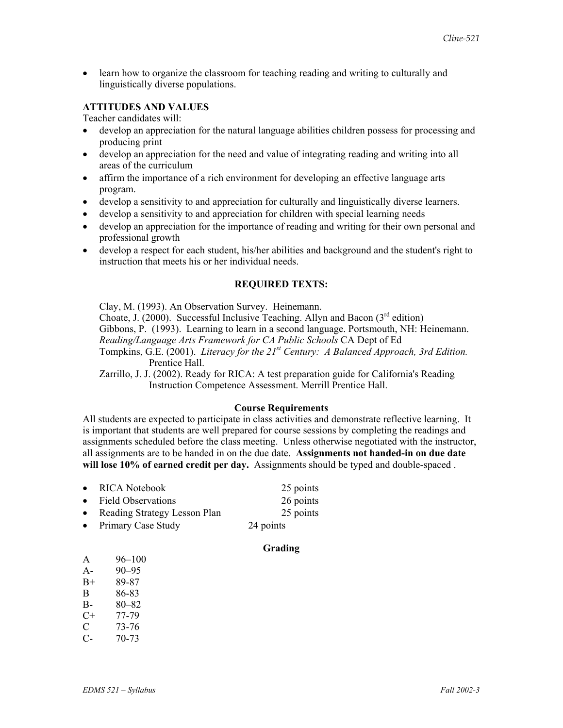• learn how to organize the classroom for teaching reading and writing to culturally and linguistically diverse populations.

# **ATTITUDES AND VALUES**

Teacher candidates will:

- develop an appreciation for the natural language abilities children possess for processing and producing print
- develop an appreciation for the need and value of integrating reading and writing into all areas of the curriculum
- affirm the importance of a rich environment for developing an effective language arts program.
- develop a sensitivity to and appreciation for culturally and linguistically diverse learners.
- develop a sensitivity to and appreciation for children with special learning needs
- develop an appreciation for the importance of reading and writing for their own personal and professional growth
- develop a respect for each student, his/her abilities and background and the student's right to instruction that meets his or her individual needs.

#### **REQUIRED TEXTS:**

Clay, M. (1993). An Observation Survey. Heinemann. Choate, J. (2000). Successful Inclusive Teaching. Allyn and Bacon  $3^{rd}$  edition) Gibbons, P. (1993). Learning to learn in a second language. Portsmouth, NH: Heinemann. *Reading/Language Arts Framework for CA Public Schools* CA Dept of Ed Tompkins, G.E. (2001). *Literacy for the 21st Century: A Balanced Approach, 3rd Edition.* Prentice Hall.

Zarrillo, J. J. (2002). Ready for RICA: A test preparation guide for California's Reading Instruction Competence Assessment. Merrill Prentice Hall.

#### **Course Requirements**

All students are expected to participate in class activities and demonstrate reflective learning. It is important that students are well prepared for course sessions by completing the readings and assignments scheduled before the class meeting. Unless otherwise negotiated with the instructor, all assignments are to be handed in on the due date. **Assignments not handed-in on due date will lose 10% of earned credit per day.** Assignments should be typed and double-spaced .

- RICA Notebook 25 points • Field Observations 26 points • Reading Strategy Lesson Plan 25 points
- Primary Case Study 24 points

#### **Grading**

| A     | $96 - 100$ |
|-------|------------|
| $A -$ | $90 - 95$  |
| $B+$  | 89-87      |
| В     | 86-83      |
| $B-$  | 80–82      |
| C+    | 77-79      |
| C     | 73-76      |
| C-    | 70-73      |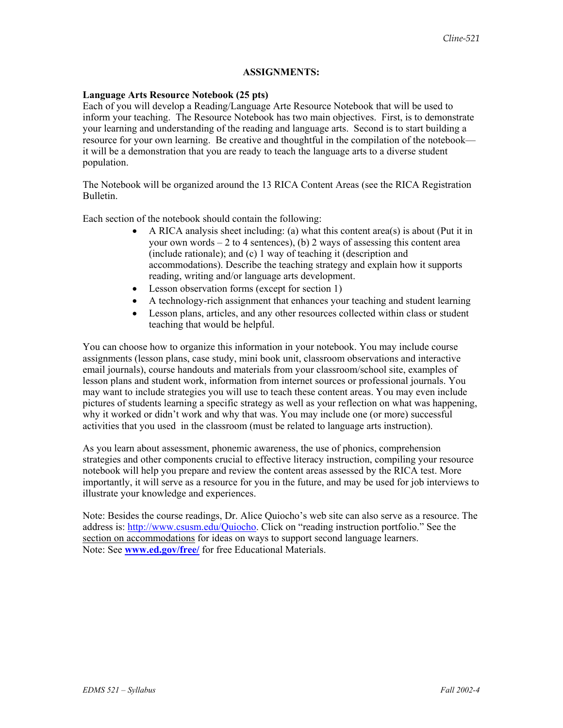# **ASSIGNMENTS:**

## **Language Arts Resource Notebook (25 pts)**

Each of you will develop a Reading/Language Arte Resource Notebook that will be used to inform your teaching. The Resource Notebook has two main objectives. First, is to demonstrate your learning and understanding of the reading and language arts. Second is to start building a resource for your own learning. Be creative and thoughtful in the compilation of the notebook it will be a demonstration that you are ready to teach the language arts to a diverse student population.

The Notebook will be organized around the 13 RICA Content Areas (see the RICA Registration Bulletin.

Each section of the notebook should contain the following:

- A RICA analysis sheet including: (a) what this content area(s) is about (Put it in your own words  $-2$  to 4 sentences), (b) 2 ways of assessing this content area (include rationale); and (c) 1 way of teaching it (description and accommodations). Describe the teaching strategy and explain how it supports reading, writing and/or language arts development.
- Lesson observation forms (except for section 1)
- A technology-rich assignment that enhances your teaching and student learning
- Lesson plans, articles, and any other resources collected within class or student teaching that would be helpful.

You can choose how to organize this information in your notebook. You may include course assignments (lesson plans, case study, mini book unit, classroom observations and interactive email journals), course handouts and materials from your classroom/school site, examples of lesson plans and student work, information from internet sources or professional journals. You may want to include strategies you will use to teach these content areas. You may even include pictures of students learning a specific strategy as well as your reflection on what was happening, why it worked or didn't work and why that was. You may include one (or more) successful activities that you used in the classroom (must be related to language arts instruction).

As you learn about assessment, phonemic awareness, the use of phonics, comprehension strategies and other components crucial to effective literacy instruction, compiling your resource notebook will help you prepare and review the content areas assessed by the RICA test. More importantly, it will serve as a resource for you in the future, and may be used for job interviews to illustrate your knowledge and experiences.

Note: Besides the course readings, Dr. Alice Quiocho's web site can also serve as a resource. The address is: http://www.csusm.edu/Quiocho. Click on "reading instruction portfolio." See the section on accommodations for ideas on ways to support second language learners. Note: See **www.ed.gov/free/** for free Educational Materials.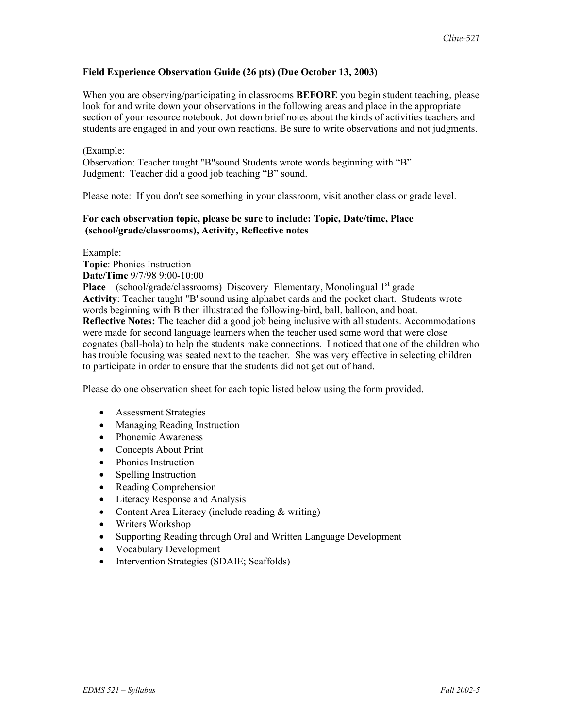# **Field Experience Observation Guide (26 pts) (Due October 13, 2003)**

When you are observing/participating in classrooms **BEFORE** you begin student teaching, please look for and write down your observations in the following areas and place in the appropriate section of your resource notebook. Jot down brief notes about the kinds of activities teachers and students are engaged in and your own reactions. Be sure to write observations and not judgments.

#### (Example:

Observation: Teacher taught "B"sound Students wrote words beginning with "B" Judgment: Teacher did a good job teaching "B" sound.

Please note: If you don't see something in your classroom, visit another class or grade level.

# **For each observation topic, please be sure to include: Topic, Date/time, Place (school/grade/classrooms), Activity, Reflective notes**

Example:

**Topic**: Phonics Instruction **Date/Time** 9/7/98 9:00-10:00 Place (school/grade/classrooms) Discovery Elementary, Monolingual 1<sup>st</sup> grade **Activity**: Teacher taught "B"sound using alphabet cards and the pocket chart. Students wrote words beginning with B then illustrated the following-bird, ball, balloon, and boat. **Reflective Notes:** The teacher did a good job being inclusive with all students. Accommodations were made for second language learners when the teacher used some word that were close cognates (ball-bola) to help the students make connections. I noticed that one of the children who has trouble focusing was seated next to the teacher. She was very effective in selecting children to participate in order to ensure that the students did not get out of hand.

Please do one observation sheet for each topic listed below using the form provided.

- Assessment Strategies
- Managing Reading Instruction
- Phonemic Awareness
- Concepts About Print
- Phonics Instruction
- Spelling Instruction
- Reading Comprehension
- Literacy Response and Analysis
- Content Area Literacy (include reading & writing)
- Writers Workshop
- Supporting Reading through Oral and Written Language Development
- Vocabulary Development
- Intervention Strategies (SDAIE; Scaffolds)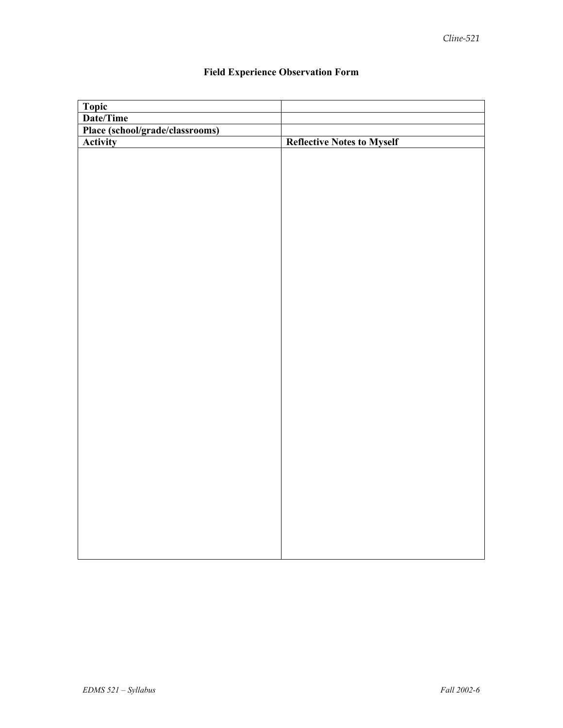| <b>Topic</b>                    |                                   |
|---------------------------------|-----------------------------------|
| Date/Time                       |                                   |
| Place (school/grade/classrooms) |                                   |
| Activity                        | <b>Reflective Notes to Myself</b> |
|                                 |                                   |
|                                 |                                   |
|                                 |                                   |
|                                 |                                   |
|                                 |                                   |
|                                 |                                   |
|                                 |                                   |
|                                 |                                   |
|                                 |                                   |
|                                 |                                   |
|                                 |                                   |
|                                 |                                   |
|                                 |                                   |
|                                 |                                   |
|                                 |                                   |
|                                 |                                   |
|                                 |                                   |
|                                 |                                   |
|                                 |                                   |
|                                 |                                   |
|                                 |                                   |
|                                 |                                   |
|                                 |                                   |
|                                 |                                   |
|                                 |                                   |
|                                 |                                   |
|                                 |                                   |
|                                 |                                   |
|                                 |                                   |
|                                 |                                   |
|                                 |                                   |
|                                 |                                   |

# **Field Experience Observation Form**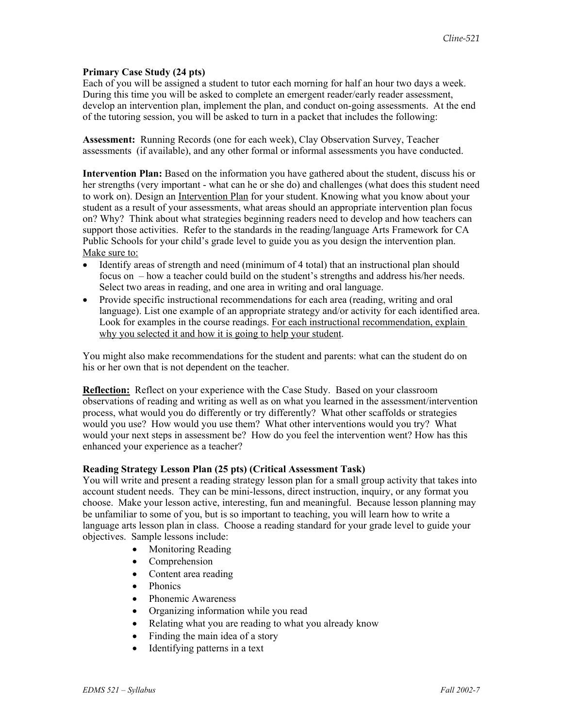# **Primary Case Study (24 pts)**

Each of you will be assigned a student to tutor each morning for half an hour two days a week. During this time you will be asked to complete an emergent reader/early reader assessment, develop an intervention plan, implement the plan, and conduct on-going assessments. At the end of the tutoring session, you will be asked to turn in a packet that includes the following:

**Assessment:** Running Records (one for each week), Clay Observation Survey, Teacher assessments (if available), and any other formal or informal assessments you have conducted.

**Intervention Plan:** Based on the information you have gathered about the student, discuss his or her strengths (very important - what can he or she do) and challenges (what does this student need to work on). Design an Intervention Plan for your student. Knowing what you know about your student as a result of your assessments, what areas should an appropriate intervention plan focus on? Why? Think about what strategies beginning readers need to develop and how teachers can support those activities. Refer to the standards in the reading/language Arts Framework for CA Public Schools for your child's grade level to guide you as you design the intervention plan. Make sure to:

- Identify areas of strength and need (minimum of 4 total) that an instructional plan should focus on – how a teacher could build on the student's strengths and address his/her needs. Select two areas in reading, and one area in writing and oral language.
- Provide specific instructional recommendations for each area (reading, writing and oral language). List one example of an appropriate strategy and/or activity for each identified area. Look for examples in the course readings. For each instructional recommendation, explain why you selected it and how it is going to help your student.

You might also make recommendations for the student and parents: what can the student do on his or her own that is not dependent on the teacher.

**Reflection:** Reflect on your experience with the Case Study. Based on your classroom observations of reading and writing as well as on what you learned in the assessment/intervention process, what would you do differently or try differently? What other scaffolds or strategies would you use? How would you use them? What other interventions would you try? What would your next steps in assessment be? How do you feel the intervention went? How has this enhanced your experience as a teacher?

#### **Reading Strategy Lesson Plan (25 pts) (Critical Assessment Task)**

You will write and present a reading strategy lesson plan for a small group activity that takes into account student needs. They can be mini-lessons, direct instruction, inquiry, or any format you choose. Make your lesson active, interesting, fun and meaningful. Because lesson planning may be unfamiliar to some of you, but is so important to teaching, you will learn how to write a language arts lesson plan in class. Choose a reading standard for your grade level to guide your objectives. Sample lessons include:

- Monitoring Reading
- Comprehension
- Content area reading
- Phonics
- Phonemic Awareness
- Organizing information while you read
- Relating what you are reading to what you already know
- Finding the main idea of a story
- Identifying patterns in a text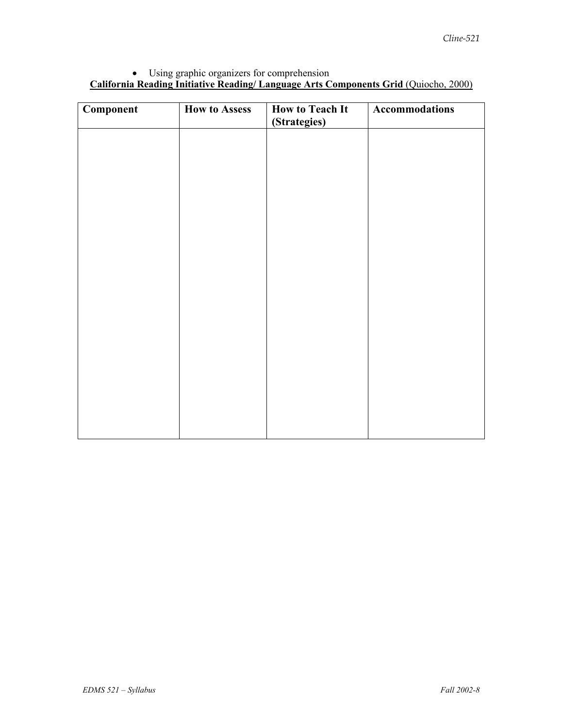# • Using graphic organizers for comprehension **California Reading Initiative Reading/ Language Arts Components Grid** (Quiocho, 2000)

| Component | <b>How to Assess</b> | <b>How to Teach It</b><br>(Strategies) | <b>Accommodations</b> |
|-----------|----------------------|----------------------------------------|-----------------------|
|           |                      |                                        |                       |
|           |                      |                                        |                       |
|           |                      |                                        |                       |
|           |                      |                                        |                       |
|           |                      |                                        |                       |
|           |                      |                                        |                       |
|           |                      |                                        |                       |
|           |                      |                                        |                       |
|           |                      |                                        |                       |
|           |                      |                                        |                       |
|           |                      |                                        |                       |
|           |                      |                                        |                       |